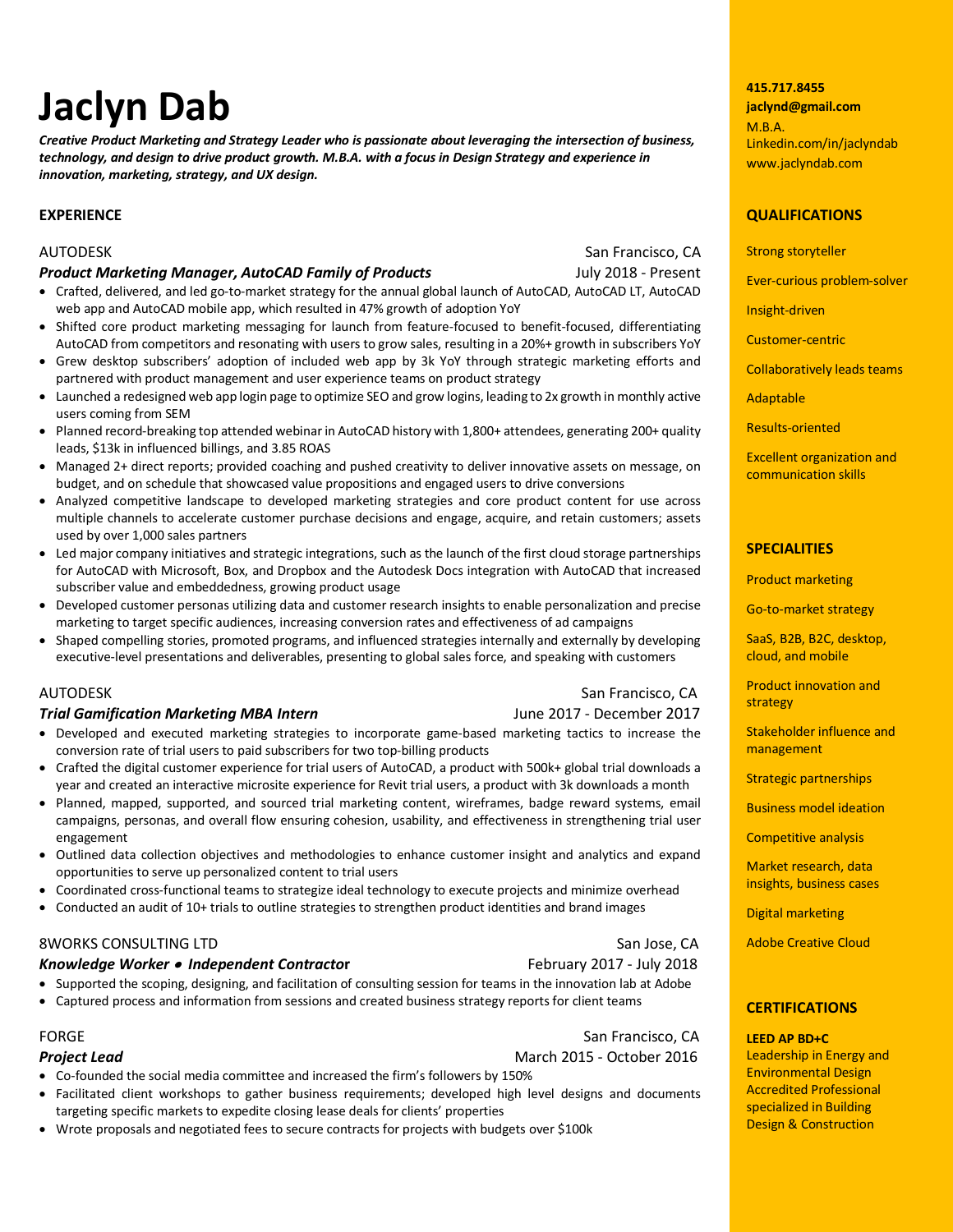# **Jaclyn Dab**

*Creative Product Marketing and Strategy Leader who is passionate about leveraging the intersection of business, technology, and design to drive product growth. M.B.A. with a focus in Design Strategy and experience in innovation, marketing, strategy, and UX design.*

# **EXPERIENCE**

# AUTODESKSan Francisco, CA

| Product Marketing Manager, AutoCAD Family of Products |  |  |
|-------------------------------------------------------|--|--|

- Crafted, delivered, and led go-to-market strategy for the annual global launch of AutoCAD, AutoCAD LT, AutoCAD web app and AutoCAD mobile app, which resulted in 47% growth of adoption YoY
- Shifted core product marketing messaging for launch from feature-focused to benefit-focused, differentiating AutoCAD from competitors and resonating with users to grow sales, resulting in a 20%+ growth in subscribers YoY
- Grew desktop subscribers' adoption of included web app by 3k YoY through strategic marketing efforts and partnered with product management and user experience teams on product strategy
- Launched a redesigned web app login page to optimize SEO and grow logins, leading to 2x growth in monthly active users coming from SEM
- Planned record-breaking top attended webinar in AutoCAD history with 1,800+ attendees, generating 200+ quality leads, \$13k in influenced billings, and 3.85 ROAS
- Managed 2+ direct reports; provided coaching and pushed creativity to deliver innovative assets on message, on budget, and on schedule that showcased value propositions and engaged users to drive conversions
- Analyzed competitive landscape to developed marketing strategies and core product content for use across multiple channels to accelerate customer purchase decisions and engage, acquire, and retain customers; assets used by over 1,000 sales partners
- Led major company initiatives and strategic integrations, such as the launch of the first cloud storage partnerships for AutoCAD with Microsoft, Box, and Dropbox and the Autodesk Docs integration with AutoCAD that increased subscriber value and embeddedness, growing product usage
- Developed customer personas utilizing data and customer research insights to enable personalization and precise marketing to target specific audiences, increasing conversion rates and effectiveness of ad campaigns
- Shaped compelling stories, promoted programs, and influenced strategies internally and externally by developing executive-level presentations and deliverables, presenting to global sales force, and speaking with customers

# AUTODESKSan Francisco, CA

# *Trial Gamification Marketing MBA Intern* June 2017 - December 2017

*Product Marketing Manager, AutoCAD Family of Products* July 2018 - Present

- Developed and executed marketing strategies to incorporate game-based marketing tactics to increase the conversion rate of trial users to paid subscribers for two top-billing products
- Crafted the digital customer experience for trial users of AutoCAD, a product with 500k+ global trial downloads a year and created an interactive microsite experience for Revit trial users, a product with 3k downloads a month
- Planned, mapped, supported, and sourced trial marketing content, wireframes, badge reward systems, email campaigns, personas, and overall flow ensuring cohesion, usability, and effectiveness in strengthening trial user engagement
- Outlined data collection objectives and methodologies to enhance customer insight and analytics and expand opportunities to serve up personalized content to trial users
- Coordinated cross-functional teams to strategize ideal technology to execute projects and minimize overhead
- Conducted an audit of 10+ trials to outline strategies to strengthen product identities and brand images

# 8WORKS CONSULTING LTD **B SAN DISCUSSION CONSULTING LTD SAN DISCUSSION CONSULTING LTD**

# **Knowledge Worker • Independent Contractor February 2017 - July 2018**

- Supported the scoping, designing, and facilitation of consulting session for teams in the innovation lab at Adobe
- Captured process and information from sessions and created business strategy reports for client teams

FORGE San Francisco, CA *Project Lead* March 2015 - October 2016

- Co-founded the social media committee and increased the firm's followers by 150%
- Facilitated client workshops to gather business requirements; developed high level designs and documents targeting specific markets to expedite closing lease deals for clients' properties
- Wrote proposals and negotiated fees to secure contracts for projects with budgets over \$100k

#### **415.717.8455**

**jaclynd@gmail.com** M.B.A. Linkedin.com/in/jaclyndab www.jaclyndab.com

#### **QUALIFICATIONS**

Strong storyteller

Ever-curious problem-solver

Insight-driven

Customer-centric

Collaboratively leads teams

Adaptable

Results-oriented

Excellent organization and communication skills

### **SPECIALITIES**

Product marketing

Go-to-market strategy

SaaS, B2B, B2C, desktop, cloud, and mobile

Product innovation and strategy

Stakeholder influence and management

Strategic partnerships

Business model ideation

Competitive analysis

Market research, data insights, business cases

Digital marketing

Adobe Creative Cloud

# **CERTIFICATIONS**

#### **LEED AP BD+C**

Leadership in Energy and Environmental Design Accredited Professional specialized in Building Design & Construction